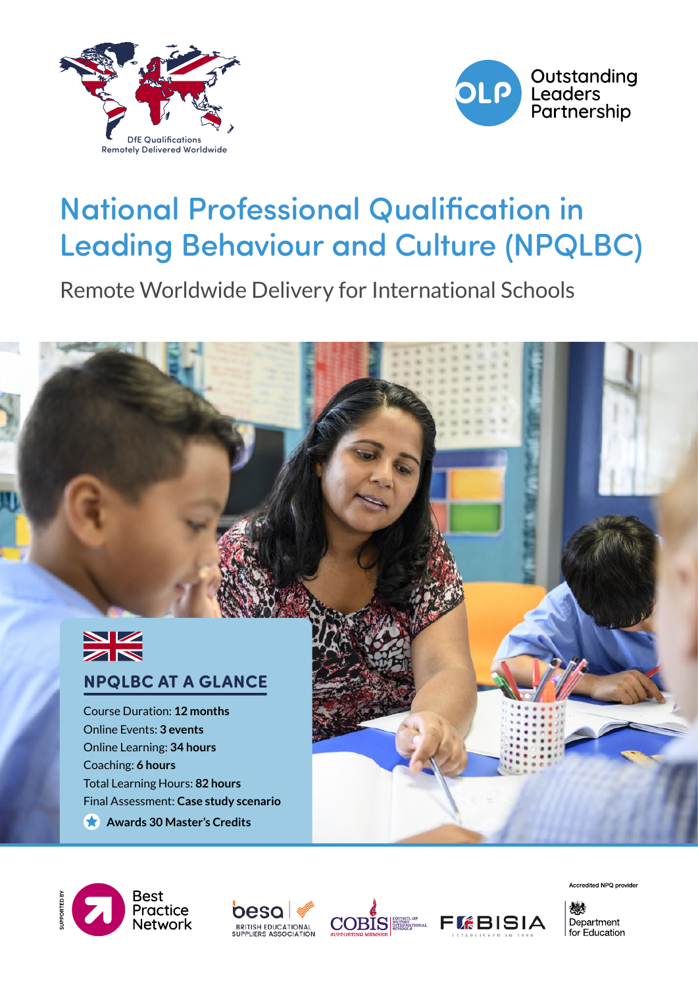



# National Professional Qualification in Leading Behaviour and Culture (NPQLBC)

Remote Worldwide Delivery for International Schools



#### **NPQLBC AT A GLANCE**

Course Duration: **12 months** Online Events: **3 events** Online Learning: **34 hours** Coaching: **6 hours** Total Learning Hours: **82 hours** Final Assessment: **Case study scenario**

**Awards 30 Master's Credits** 









Accredited NPQ provider

燃料 Department for Education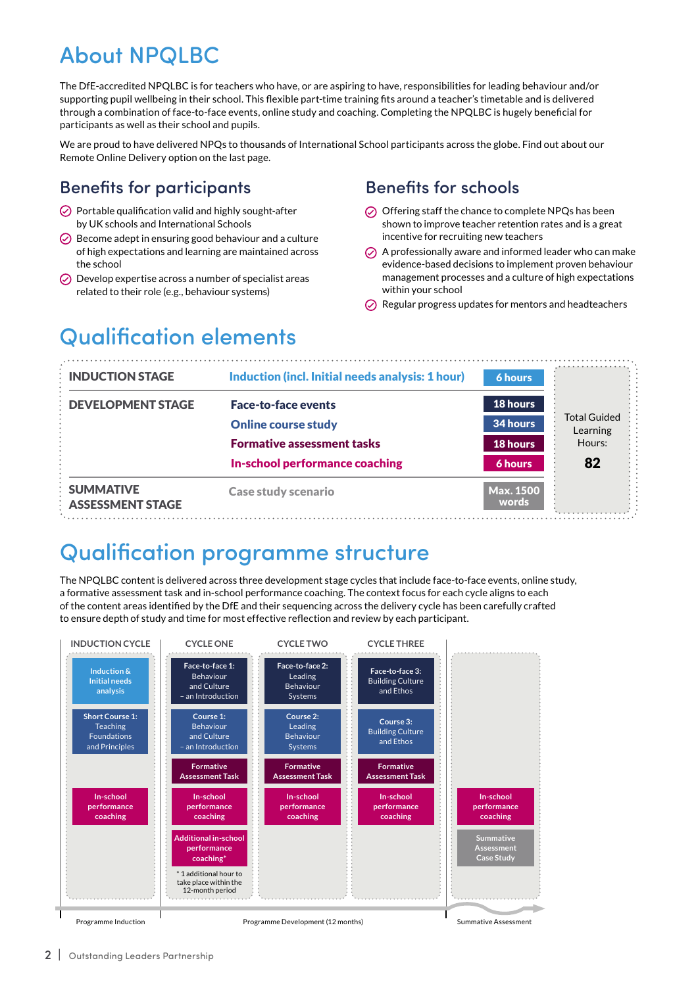## About NPQLBC

The DfE-accredited NPQLBC is for teachers who have, or are aspiring to have, responsibilities for leading behaviour and/or supporting pupil wellbeing in their school. This flexible part-time training fits around a teacher's timetable and is delivered through a combination of face-to-face events, online study and coaching. Completing the NPQLBC is hugely beneficial for participants as well as their school and pupils.

We are proud to have delivered NPQs to thousands of International School participants across the globe. Find out about our Remote Online Delivery option on the last page.

#### Benefits for participants

- $\odot$  Portable qualification valid and highly sought-after by UK schools and International Schools
- $\odot$  Become adept in ensuring good behaviour and a culture of high expectations and learning are maintained across the school
- $\oslash$  Develop expertise across a number of specialist areas related to their role (e.g., behaviour systems)

#### Benefits for schools

- $\odot$  Offering staff the chance to complete NPQs has been shown to improve teacher retention rates and is a great incentive for recruiting new teachers
- $\odot$  A professionally aware and informed leader who can make evidence-based decisions to implement proven behaviour management processes and a culture of high expectations within your school
- $\oslash$  Regular progress updates for mentors and headteachers

## Qualification elements

| <b>INDUCTION STAGE</b>                      | Induction (incl. Initial needs analysis: 1 hour) | <b>6 hours</b>            |                                 |
|---------------------------------------------|--------------------------------------------------|---------------------------|---------------------------------|
| <b>DEVELOPMENT STAGE</b>                    | <b>Face-to-face events</b>                       | 18 hours                  |                                 |
|                                             | <b>Online course study</b>                       | 34 hours                  | <b>Total Guided</b><br>Learning |
|                                             | <b>Formative assessment tasks</b>                | 18 hours                  | Hours:                          |
|                                             | In-school performance coaching                   | 6 hours                   | 82                              |
| <b>SUMMATIVE</b><br><b>ASSESSMENT STAGE</b> | <b>Case study scenario</b>                       | <b>Max. 1500</b><br>words |                                 |

### Qualification programme structure

The NPQLBC content is delivered across three development stage cycles that include face-to-face events, online study, a formative assessment task and in-school performance coaching. The context focus for each cycle aligns to each of the content areas identified by the DfE and their sequencing across the delivery cycle has been carefully crafted to ensure depth of study and time for most effective reflection and review by each participant.

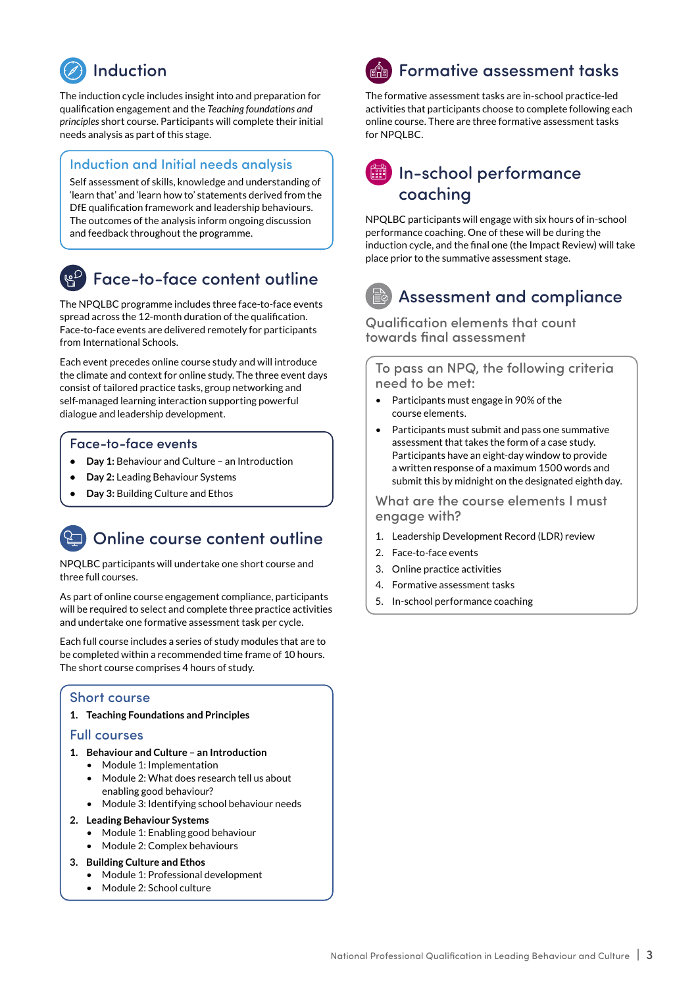

The induction cycle includes insight into and preparation for qualification engagement and the *Teaching foundations and principles* short course. Participants will complete their initial needs analysis as part of this stage.

#### Induction and Initial needs analysis

Self assessment of skills, knowledge and understanding of 'learn that' and 'learn how to' statements derived from the DfE qualification framework and leadership behaviours. The outcomes of the analysis inform ongoing discussion and feedback throughout the programme.

### Face-to-face content outline

The NPQLBC programme includes three face-to-face events spread across the 12-month duration of the qualification. Face-to-face events are delivered remotely for participants from International Schools.

Each event precedes online course study and will introduce the climate and context for online study. The three event days consist of tailored practice tasks, group networking and self-managed learning interaction supporting powerful dialogue and leadership development.

#### Face-to-face events

- **Day 1:** Behaviour and Culture an Introduction
- **Day 2:** Leading Behaviour Systems
- **Day 3:** Building Culture and Ethos

### Online course content outline

NPQLBC participants will undertake one short course and three full courses.

As part of online course engagement compliance, participants will be required to select and complete three practice activities and undertake one formative assessment task per cycle.

Each full course includes a series of study modules that are to be completed within a recommended time frame of 10 hours. The short course comprises 4 hours of study.

#### Short course

**1. Teaching Foundations and Principles**

#### Full courses

- **1. Behaviour and Culture an Introduction**
	- Module 1: Implementation
	- Module 2: What does research tell us about enabling good behaviour?
	- Module 3: Identifying school behaviour needs
- **2. Leading Behaviour Systems**
	- Module 1: Enabling good behaviour
	- Module 2: Complex behaviours
- **3. Building Culture and Ethos**
	- Module 1: Professional development
	- Module 2: School culture

## **ी Formative assessment tasks**

The formative assessment tasks are in-school practice-led activities that participants choose to complete following each online course. There are three formative assessment tasks for NPQLBC.

#### **iii** In-school performance coaching

NPQLBC participants will engage with six hours of in-school performance coaching. One of these will be during the induction cycle, and the final one (the Impact Review) will take place prior to the summative assessment stage.

### Assessment and compliance

Qualification elements that count towards final assessment

To pass an NPQ, the following criteria need to be met:

- Participants must engage in 90% of the course elements.
- Participants must submit and pass one summative assessment that takes the form of a case study. Participants have an eight-day window to provide a written response of a maximum 1500 words and submit this by midnight on the designated eighth day.

What are the course elements I must engage with?

- 1. Leadership Development Record (LDR) review
- 2. Face-to-face events
- 3. Online practice activities
- 4. Formative assessment tasks
- 5. In-school performance coaching